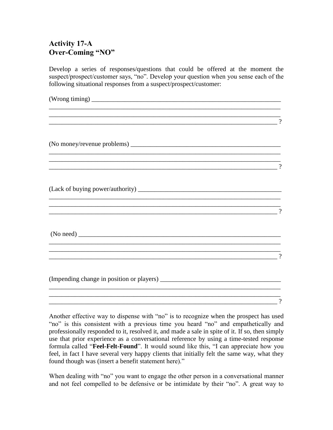## **Activity 17-A Over-Coming "NO"**

Develop a series of responses/questions that could be offered at the moment the suspect/prospect/customer says, "no". Develop your question when you sense each of the following situational responses from a suspect/prospect/customer:

|                                                                                  | $\gamma$ |
|----------------------------------------------------------------------------------|----------|
|                                                                                  |          |
|                                                                                  | $\gamma$ |
| (Lack of buying power/authority)                                                 |          |
| ,我们也不会有什么。""我们的人,我们也不会有什么?""我们的人,我们也不会有什么?""我们的人,我们也不会有什么?""我们的人,我们也不会有什么?""我们的人 | $\gamma$ |
|                                                                                  |          |
| ,我们也不会有什么。""我们的人,我们也不会有什么?""我们的人,我们也不会有什么?""我们的人,我们也不会有什么?""我们的人,我们也不会有什么?""我们的人 | $\gamma$ |
|                                                                                  |          |
|                                                                                  | $\gamma$ |

Another effective way to dispense with "no" is to recognize when the prospect has used "no" is this consistent with a previous time you heard "no" and empathetically and professionally responded to it, resolved it, and made a sale in spite of it. If so, then simply use that prior experience as a conversational reference by using a time-tested response formula called "**Feel-Felt-Found**". It would sound like this, "I can appreciate how you feel, in fact I have several very happy clients that initially felt the same way, what they found though was (insert a benefit statement here)."

When dealing with "no" you want to engage the other person in a conversational manner and not feel compelled to be defensive or be intimidate by their "no". A great way to